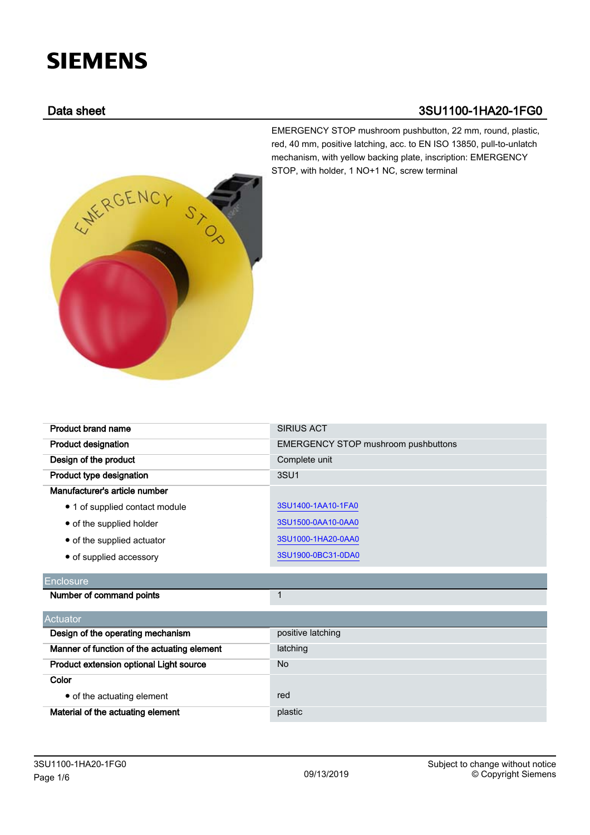# **SIEMENS**

# Data sheet 3SU1100-1HA20-1FG0

EMERGENCY STOP mushroom pushbutton, 22 mm, round, plastic, red, 40 mm, positive latching, acc. to EN ISO 13850, pull-to-unlatch mechanism, with yellow backing plate, inscription: EMERGENCY STOP, with holder, 1 NO+1 NC, screw terminal



Product brand name SIRIUS ACT

| <b>Product designation</b>                  | <b>EMERGENCY STOP mushroom pushbuttons</b> |
|---------------------------------------------|--------------------------------------------|
| Design of the product                       | Complete unit                              |
| Product type designation                    | 3SU1                                       |
| Manufacturer's article number               |                                            |
| • 1 of supplied contact module              | 3SU1400-1AA10-1FA0                         |
| • of the supplied holder                    | 3SU1500-0AA10-0AA0                         |
| • of the supplied actuator                  | 3SU1000-1HA20-0AA0                         |
| • of supplied accessory                     | 3SU1900-0BC31-0DA0                         |
| <b>Enclosure</b>                            |                                            |
| Number of command points                    | 1                                          |
| Actuator                                    |                                            |
| Design of the operating mechanism           | positive latching                          |
| Manner of function of the actuating element | latching                                   |
| Product extension optional Light source     | <b>No</b>                                  |
| Color                                       |                                            |
| • of the actuating element                  | red                                        |
| Material of the actuating element           | plastic                                    |
|                                             |                                            |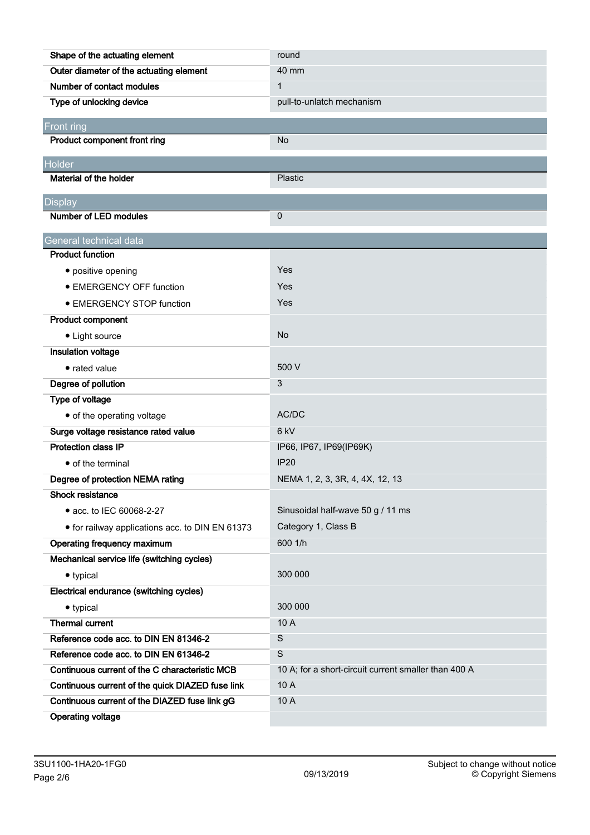| Shape of the actuating element                   | round                                                |
|--------------------------------------------------|------------------------------------------------------|
| Outer diameter of the actuating element          | 40 mm                                                |
| Number of contact modules                        | $\mathbf{1}$                                         |
| Type of unlocking device                         | pull-to-unlatch mechanism                            |
| Front ring                                       |                                                      |
| Product component front ring                     | No                                                   |
|                                                  |                                                      |
| Holder<br>Material of the holder                 | Plastic                                              |
|                                                  |                                                      |
| <b>Display</b>                                   |                                                      |
| <b>Number of LED modules</b>                     | 0                                                    |
| General technical data                           |                                                      |
| <b>Product function</b>                          |                                                      |
| • positive opening                               | Yes                                                  |
| <b>• EMERGENCY OFF function</b>                  | Yes                                                  |
| • EMERGENCY STOP function                        | Yes                                                  |
| <b>Product component</b>                         |                                                      |
| • Light source                                   | <b>No</b>                                            |
| Insulation voltage                               |                                                      |
| • rated value                                    | 500 V                                                |
| Degree of pollution                              | 3                                                    |
| Type of voltage                                  |                                                      |
| • of the operating voltage                       | AC/DC                                                |
| Surge voltage resistance rated value             | 6 <sub>kV</sub>                                      |
| <b>Protection class IP</b>                       | IP66, IP67, IP69(IP69K)                              |
| • of the terminal                                | <b>IP20</b>                                          |
| Degree of protection NEMA rating                 | NEMA 1, 2, 3, 3R, 4, 4X, 12, 13                      |
| Shock resistance                                 |                                                      |
| • acc. to IEC 60068-2-27                         | Sinusoidal half-wave 50 g / 11 ms                    |
| • for railway applications acc. to DIN EN 61373  | Category 1, Class B                                  |
| Operating frequency maximum                      | 600 1/h                                              |
| Mechanical service life (switching cycles)       |                                                      |
| • typical                                        | 300 000                                              |
| Electrical endurance (switching cycles)          |                                                      |
| • typical                                        | 300 000                                              |
| <b>Thermal current</b>                           | 10 A                                                 |
| Reference code acc. to DIN EN 81346-2            | $\mathsf S$                                          |
| Reference code acc. to DIN EN 61346-2            | $\mathbf S$                                          |
| Continuous current of the C characteristic MCB   | 10 A; for a short-circuit current smaller than 400 A |
| Continuous current of the quick DIAZED fuse link | 10 A                                                 |
| Continuous current of the DIAZED fuse link gG    | 10 A                                                 |
| <b>Operating voltage</b>                         |                                                      |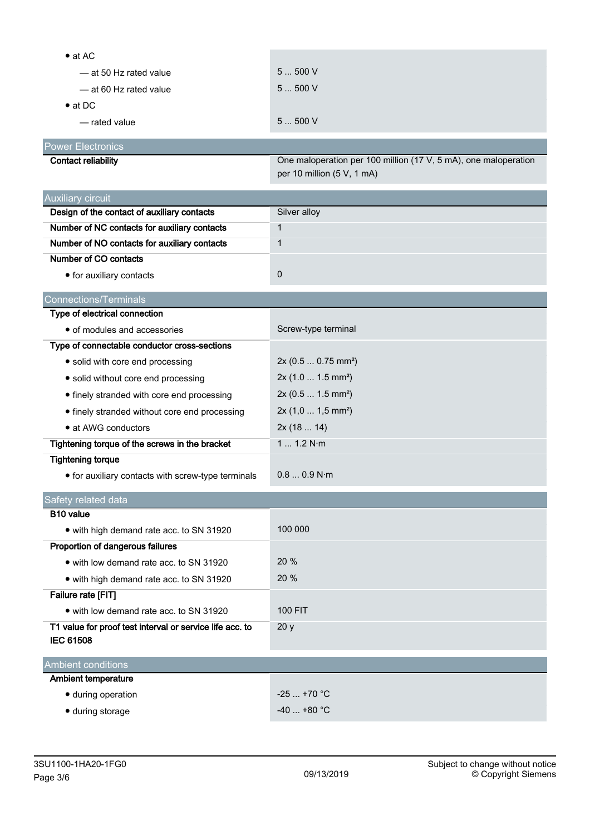| $\bullet$ at AC                                          |                                                                 |
|----------------------------------------------------------|-----------------------------------------------------------------|
| -at 50 Hz rated value                                    | 5500V                                                           |
| -at 60 Hz rated value                                    | 5500V                                                           |
| $\bullet$ at DC                                          |                                                                 |
| — rated value                                            | 5500V                                                           |
| <b>Power Electronics</b>                                 |                                                                 |
| <b>Contact reliability</b>                               | One maloperation per 100 million (17 V, 5 mA), one maloperation |
|                                                          | per 10 million (5 V, 1 mA)                                      |
| Auxiliary circuit                                        |                                                                 |
| Design of the contact of auxiliary contacts              | Silver alloy                                                    |
| Number of NC contacts for auxiliary contacts             | $\mathbf{1}$                                                    |
| Number of NO contacts for auxiliary contacts             | $\mathbf{1}$                                                    |
| Number of CO contacts                                    |                                                                 |
| • for auxiliary contacts                                 | $\pmb{0}$                                                       |
| <b>Connections/Terminals</b>                             |                                                                 |
| Type of electrical connection                            |                                                                 |
| • of modules and accessories                             | Screw-type terminal                                             |
| Type of connectable conductor cross-sections             |                                                                 |
| • solid with core end processing                         | 2x (0.5  0.75 mm <sup>2</sup> )                                 |
| · solid without core end processing                      | $2x(1.01.5mm^2)$                                                |
| • finely stranded with core end processing               | 2x (0.5  1.5 mm <sup>2</sup> )                                  |
| • finely stranded without core end processing            | $2x(1,01,5mm^2)$                                                |
| • at AWG conductors                                      | 2x(1814)                                                        |
| Tightening torque of the screws in the bracket           | 1 1.2 N·m                                                       |
| <b>Tightening torque</b>                                 |                                                                 |
| • for auxiliary contacts with screw-type terminals       | 0.80.9 N·m                                                      |
| Safety related data                                      |                                                                 |
| B <sub>10</sub> value                                    |                                                                 |
| • with high demand rate acc. to SN 31920                 | 100 000                                                         |
| Proportion of dangerous failures                         |                                                                 |
| • with low demand rate acc. to SN 31920                  | 20 %                                                            |
| • with high demand rate acc. to SN 31920                 | 20 %                                                            |
| Failure rate [FIT]                                       |                                                                 |
| • with low demand rate acc. to SN 31920                  | <b>100 FIT</b>                                                  |
| T1 value for proof test interval or service life acc. to | 20y                                                             |
| <b>IEC 61508</b>                                         |                                                                 |
| <b>Ambient conditions</b>                                |                                                                 |
| <b>Ambient temperature</b>                               |                                                                 |
| · during operation                                       | $-25+70$ °C                                                     |
| · during storage                                         | $-40+80$ °C                                                     |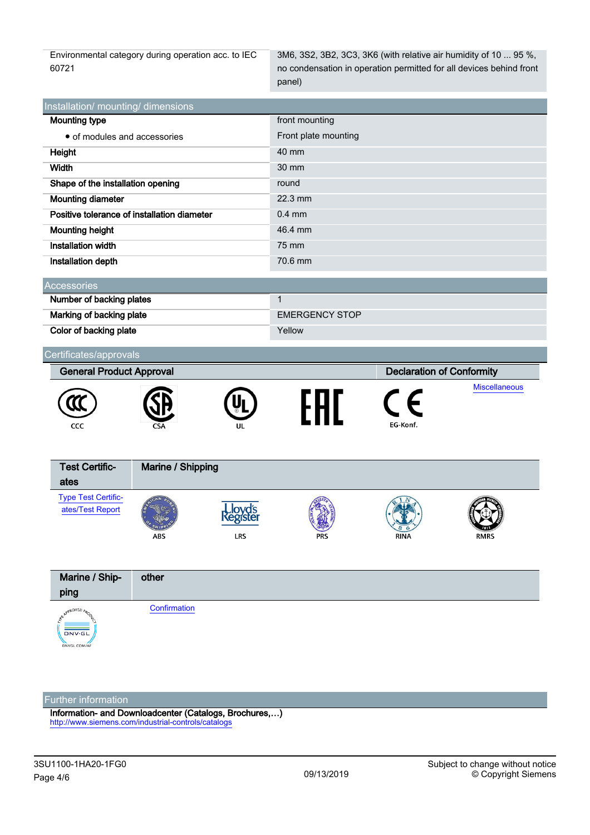Environmental category during operation acc. to IEC 60721

3M6, 3S2, 3B2, 3C3, 3K6 (with relative air humidity of 10 ... 95 %, no condensation in operation permitted for all devices behind front panel)

| Installation/ mounting/ dimensions          |                      |  |  |
|---------------------------------------------|----------------------|--|--|
| <b>Mounting type</b>                        | front mounting       |  |  |
| • of modules and accessories                | Front plate mounting |  |  |
| Height                                      | 40 mm                |  |  |
| Width                                       | 30 mm                |  |  |
| Shape of the installation opening           | round                |  |  |
| <b>Mounting diameter</b>                    | $22.3$ mm            |  |  |
| Positive tolerance of installation diameter | $0.4$ mm             |  |  |
| <b>Mounting height</b>                      | 46.4 mm              |  |  |
| <b>Installation width</b>                   | 75 mm                |  |  |
| Installation depth                          | 70.6 mm              |  |  |
| Accessories                                 |                      |  |  |
|                                             |                      |  |  |
| Number of backing plates                    |                      |  |  |

| <b>Thermody</b> of Buchang pratter |                       |
|------------------------------------|-----------------------|
| Marking of backing plate           | <b>EMERGENCY STOP</b> |
| Color of backing plate             | Yellow                |

| Certificates/approvals          |                   |                                  |  |          |                      |
|---------------------------------|-------------------|----------------------------------|--|----------|----------------------|
| <b>General Product Approval</b> |                   | <b>Declaration of Conformity</b> |  |          |                      |
| CCC                             | <b>CSA</b>        | UL                               |  | EG-Konf. | <b>Miscellaneous</b> |
| <b>Test Certific-</b><br>A      | Marine / Shipping |                                  |  |          |                      |

| TEST OCTUNG.<br>ates                           | $m$ anne / $\sigma$ mpping |            |            |             |             |  |
|------------------------------------------------|----------------------------|------------|------------|-------------|-------------|--|
| <b>Type Test Certific-</b><br>ates/Test Report | ABS                        | <b>LRS</b> | <b>PRS</b> | <b>RINA</b> | <b>RMRS</b> |  |



## Further information

Information- and Downloadcenter (Catalogs, Brochures,…) <http://www.siemens.com/industrial-controls/catalogs>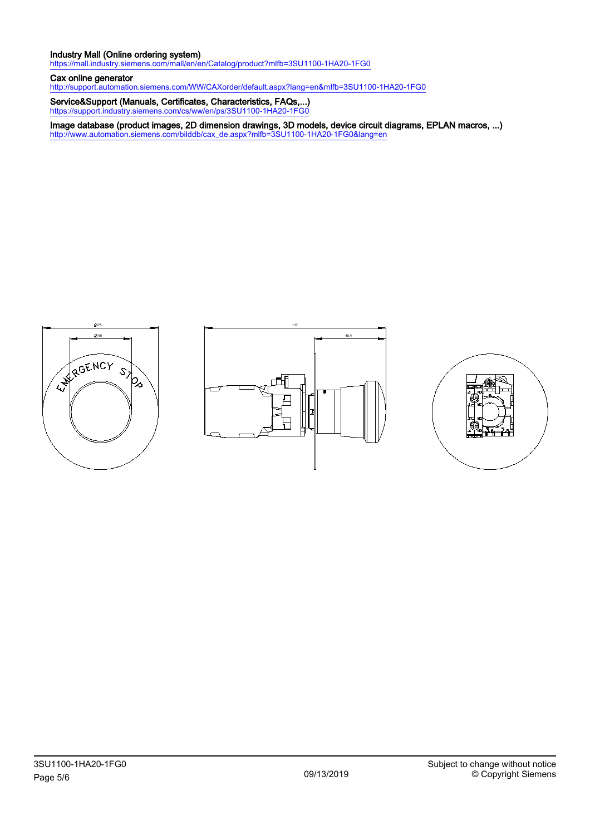### Industry Mall (Online ordering system)

<https://mall.industry.siemens.com/mall/en/en/Catalog/product?mlfb=3SU1100-1HA20-1FG0>

#### Cax online generator

<http://support.automation.siemens.com/WW/CAXorder/default.aspx?lang=en&mlfb=3SU1100-1HA20-1FG0>

Service&Support (Manuals, Certificates, Characteristics, FAQs,...) <https://support.industry.siemens.com/cs/ww/en/ps/3SU1100-1HA20-1FG0>

Image database (product images, 2D dimension drawings, 3D models, device circuit diagrams, EPLAN macros, ...) [http://www.automation.siemens.com/bilddb/cax\\_de.aspx?mlfb=3SU1100-1HA20-1FG0&lang=en](http://www.automation.siemens.com/bilddb/cax_de.aspx?mlfb=3SU1100-1HA20-1FG0&lang=en)